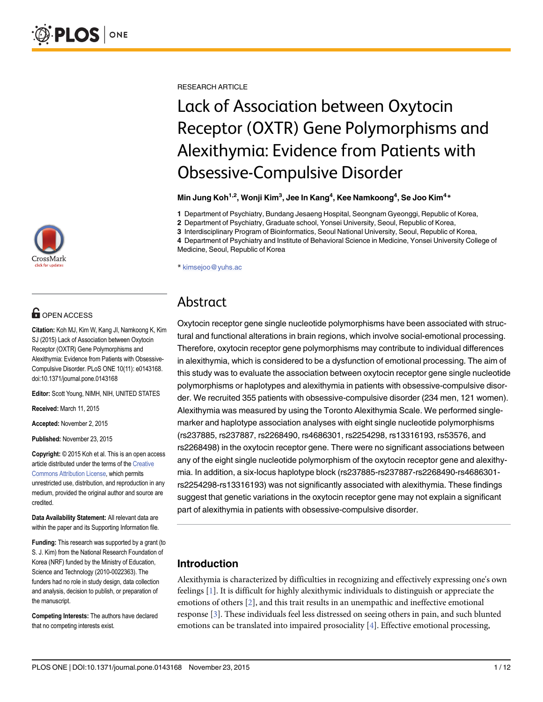

## **OPEN ACCESS**

Citation: Koh MJ, Kim W, Kang JI, Namkoong K, Kim SJ (2015) Lack of Association between Oxytocin Receptor (OXTR) Gene Polymorphisms and Alexithymia: Evidence from Patients with Obsessive-Compulsive Disorder. PLoS ONE 10(11): e0143168. doi:10.1371/journal.pone.0143168

Editor: Scott Young, NIMH, NIH, UNITED STATES

Received: March 11, 2015

Accepted: November 2, 2015

Published: November 23, 2015

Copyright: © 2015 Koh et al. This is an open access article distributed under the terms of the [Creative](http://creativecommons.org/licenses/by/4.0/) [Commons Attribution License](http://creativecommons.org/licenses/by/4.0/), which permits unrestricted use, distribution, and reproduction in any medium, provided the original author and source are credited.

Data Availability Statement: All relevant data are within the paper and its Supporting Information file.

Funding: This research was supported by a grant (to S. J. Kim) from the National Research Foundation of Korea (NRF) funded by the Ministry of Education, Science and Technology (2010-0022363). The funders had no role in study design, data collection and analysis, decision to publish, or preparation of the manuscript.

Competing Interests: The authors have declared that no competing interests exist.

<span id="page-0-0"></span>RESEARCH ARTICLE

# Lack of Association between Oxytocin Receptor (OXTR) Gene Polymorphisms and Alexithymia: Evidence from Patients with Obsessive-Compulsive Disorder

Min Jung Koh $^{1,2}$ , Wonji Kim $^3$ , Jee In Kang $^4$ , Kee Namkoong $^4$ , Se Joo Kim $^{4\,*}$ 

1 Department of Psychiatry, Bundang Jesaeng Hospital, Seongnam Gyeonggi, Republic of Korea,

2 Department of Psychiatry, Graduate school, Yonsei University, Seoul, Republic of Korea,

3 Interdisciplinary Program of Bioinformatics, Seoul National University, Seoul, Republic of Korea,

4 Department of Psychiatry and Institute of Behavioral Science in Medicine, Yonsei University College of Medicine, Seoul, Republic of Korea

\* kimsejoo@yuhs.ac

## Abstract

Oxytocin receptor gene single nucleotide polymorphisms have been associated with structural and functional alterations in brain regions, which involve social-emotional processing. Therefore, oxytocin receptor gene polymorphisms may contribute to individual differences in alexithymia, which is considered to be a dysfunction of emotional processing. The aim of this study was to evaluate the association between oxytocin receptor gene single nucleotide polymorphisms or haplotypes and alexithymia in patients with obsessive-compulsive disorder. We recruited 355 patients with obsessive-compulsive disorder (234 men, 121 women). Alexithymia was measured by using the Toronto Alexithymia Scale. We performed singlemarker and haplotype association analyses with eight single nucleotide polymorphisms (rs237885, rs237887, rs2268490, rs4686301, rs2254298, rs13316193, rs53576, and rs2268498) in the oxytocin receptor gene. There were no significant associations between any of the eight single nucleotide polymorphism of the oxytocin receptor gene and alexithymia. In addition, a six-locus haplotype block (rs237885-rs237887-rs2268490-rs4686301 rs2254298-rs13316193) was not significantly associated with alexithymia. These findings suggest that genetic variations in the oxytocin receptor gene may not explain a significant part of alexithymia in patients with obsessive-compulsive disorder.

## Introduction

Alexithymia is characterized by difficulties in recognizing and effectively expressing one's own feelings [[1](#page-8-0)]. It is difficult for highly alexithymic individuals to distinguish or appreciate the emotions of others [[2\]](#page-8-0), and this trait results in an unempathic and ineffective emotional response [[3](#page-8-0)]. These individuals feel less distressed on seeing others in pain, and such blunted emotions can be translated into impaired prosociality  $[4]$  $[4]$ . Effective emotional processing,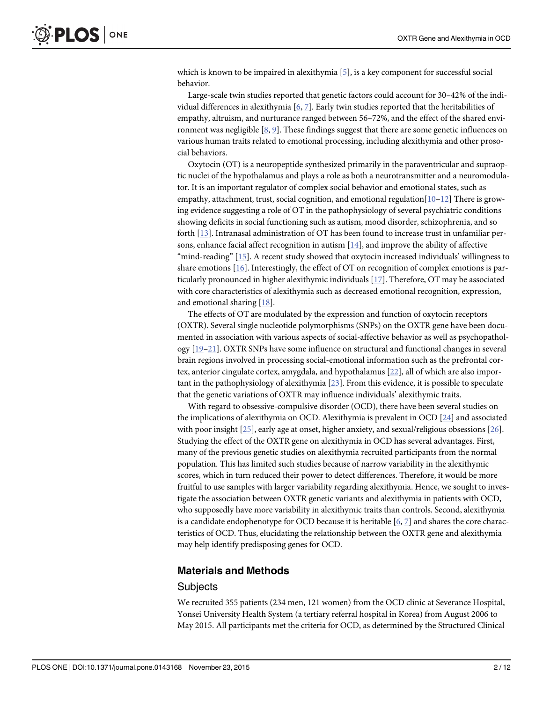<span id="page-1-0"></span>which is known to be impaired in alexithymia  $[5]$  $[5]$  $[5]$ , is a key component for successful social behavior.

Large-scale twin studies reported that genetic factors could account for 30–42% of the individual differences in alexithymia  $[6, 7]$  $[6, 7]$  $[6, 7]$  $[6, 7]$ . Early twin studies reported that the heritabilities of empathy, altruism, and nurturance ranged between 56–72%, and the effect of the shared environment was negligible  $[8, 9]$  $[8, 9]$  $[8, 9]$  $[8, 9]$ . These findings suggest that there are some genetic influences on various human traits related to emotional processing, including alexithymia and other prosocial behaviors.

Oxytocin (OT) is a neuropeptide synthesized primarily in the paraventricular and supraoptic nuclei of the hypothalamus and plays a role as both a neurotransmitter and a neuromodulator. It is an important regulator of complex social behavior and emotional states, such as empathy, attachment, trust, social cognition, and emotional regulation $[10-12]$  $[10-12]$  $[10-12]$  $[10-12]$  $[10-12]$  There is growing evidence suggesting a role of OT in the pathophysiology of several psychiatric conditions showing deficits in social functioning such as autism, mood disorder, schizophrenia, and so forth [[13](#page-9-0)]. Intranasal administration of OT has been found to increase trust in unfamiliar persons, enhance facial affect recognition in autism [\[14\]](#page-9-0), and improve the ability of affective "mind-reading" [\[15](#page-9-0)]. A recent study showed that oxytocin increased individuals' willingness to share emotions [\[16\]](#page-9-0). Interestingly, the effect of OT on recognition of complex emotions is particularly pronounced in higher alexithymic individuals [[17](#page-9-0)]. Therefore, OT may be associated with core characteristics of alexithymia such as decreased emotional recognition, expression, and emotional sharing [[18](#page-9-0)].

The effects of OT are modulated by the expression and function of oxytocin receptors (OXTR). Several single nucleotide polymorphisms (SNPs) on the OXTR gene have been documented in association with various aspects of social-affective behavior as well as psychopathology [[19](#page-9-0)–[21](#page-9-0)]. OXTR SNPs have some influence on structural and functional changes in several brain regions involved in processing social-emotional information such as the prefrontal cortex, anterior cingulate cortex, amygdala, and hypothalamus [[22](#page-9-0)], all of which are also important in the pathophysiology of alexithymia [\[23\]](#page-9-0). From this evidence, it is possible to speculate that the genetic variations of OXTR may influence individuals' alexithymic traits.

With regard to obsessive-compulsive disorder (OCD), there have been several studies on the implications of alexithymia on OCD. Alexithymia is prevalent in OCD [\[24\]](#page-9-0) and associated with poor insight [[25](#page-10-0)], early age at onset, higher anxiety, and sexual/religious obsessions [\[26\]](#page-10-0). Studying the effect of the OXTR gene on alexithymia in OCD has several advantages. First, many of the previous genetic studies on alexithymia recruited participants from the normal population. This has limited such studies because of narrow variability in the alexithymic scores, which in turn reduced their power to detect differences. Therefore, it would be more fruitful to use samples with larger variability regarding alexithymia. Hence, we sought to investigate the association between OXTR genetic variants and alexithymia in patients with OCD, who supposedly have more variability in alexithymic traits than controls. Second, alexithymia is a candidate endophenotype for OCD because it is heritable  $[6, 7]$  $[6, 7]$  $[6, 7]$  $[6, 7]$  and shares the core characteristics of OCD. Thus, elucidating the relationship between the OXTR gene and alexithymia may help identify predisposing genes for OCD.

#### Materials and Methods

#### **Subjects**

We recruited 355 patients (234 men, 121 women) from the OCD clinic at Severance Hospital, Yonsei University Health System (a tertiary referral hospital in Korea) from August 2006 to May 2015. All participants met the criteria for OCD, as determined by the Structured Clinical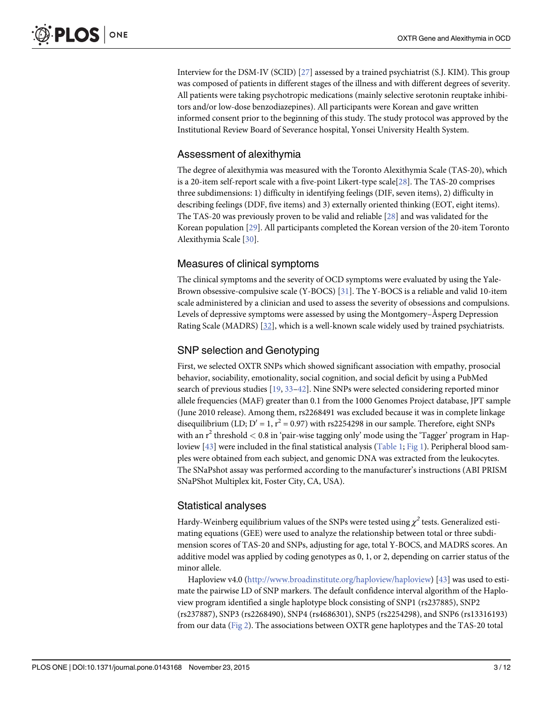<span id="page-2-0"></span>Interview for the DSM-IV (SCID)  $[27]$  $[27]$  $[27]$  assessed by a trained psychiatrist (S.J. KIM). This group was composed of patients in different stages of the illness and with different degrees of severity. All patients were taking psychotropic medications (mainly selective serotonin reuptake inhibitors and/or low-dose benzodiazepines). All participants were Korean and gave written informed consent prior to the beginning of this study. The study protocol was approved by the Institutional Review Board of Severance hospital, Yonsei University Health System.

## Assessment of alexithymia

The degree of alexithymia was measured with the Toronto Alexithymia Scale (TAS-20), which is a 20-item self-report scale with a five-point Likert-type scale  $[28]$  $[28]$  $[28]$ . The TAS-20 comprises three subdimensions: 1) difficulty in identifying feelings (DIF, seven items), 2) difficulty in describing feelings (DDF, five items) and 3) externally oriented thinking (EOT, eight items). The TAS-20 was previously proven to be valid and reliable [\[28](#page-10-0)] and was validated for the Korean population [[29](#page-10-0)]. All participants completed the Korean version of the 20-item Toronto Alexithymia Scale [[30](#page-10-0)].

## Measures of clinical symptoms

The clinical symptoms and the severity of OCD symptoms were evaluated by using the Yale-Brown obsessive-compulsive scale (Y-BOCS) [\[31\]](#page-10-0). The Y-BOCS is a reliable and valid 10-item scale administered by a clinician and used to assess the severity of obsessions and compulsions. Levels of depressive symptoms were assessed by using the Montgomery–Åsperg Depression Rating Scale (MADRS) [[32](#page-10-0)], which is a well-known scale widely used by trained psychiatrists.

## SNP selection and Genotyping

First, we selected OXTR SNPs which showed significant association with empathy, prosocial behavior, sociability, emotionality, social cognition, and social deficit by using a PubMed search of previous studies [\[19,](#page-9-0) [33](#page-10-0)-[42](#page-10-0)]. Nine SNPs were selected considering reported minor allele frequencies (MAF) greater than 0.1 from the 1000 Genomes Project database, JPT sample (June 2010 release). Among them, rs2268491 was excluded because it was in complete linkage disequilibrium (LD;  $D' = 1$ ,  $r^2 = 0.97$ ) with rs2254298 in our sample. Therefore, eight SNPs with an  $r^2$  threshold  $\lt 0.8$  in 'pair-wise tagging only' mode using the 'Tagger' program in Haploview  $[43]$  were included in the final statistical analysis [\(Table 1](#page-3-0); [Fig 1](#page-3-0)). Peripheral blood samples were obtained from each subject, and genomic DNA was extracted from the leukocytes. The SNaPshot assay was performed according to the manufacturer's instructions (ABI PRISM SNaPShot Multiplex kit, Foster City, CA, USA).

## Statistical analyses

Hardy-Weinberg equilibrium values of the SNPs were tested using  $\chi^2$  tests. Generalized estimating equations (GEE) were used to analyze the relationship between total or three subdimension scores of TAS-20 and SNPs, adjusting for age, total Y-BOCS, and MADRS scores. An additive model was applied by coding genotypes as 0, 1, or 2, depending on carrier status of the minor allele.

Haploview v4.0 [\(http://www.broadinstitute.org/haploview/haploview\)](http://www.broadinstitute.org/haploview/haploview) [[43\]](#page-10-0) was used to estimate the pairwise LD of SNP markers. The default confidence interval algorithm of the Haploview program identified a single haplotype block consisting of SNP1 (rs237885), SNP2 (rs237887), SNP3 (rs2268490), SNP4 (rs4686301), SNP5 (rs2254298), and SNP6 (rs13316193) from our data ([Fig 2](#page-4-0)). The associations between OXTR gene haplotypes and the TAS-20 total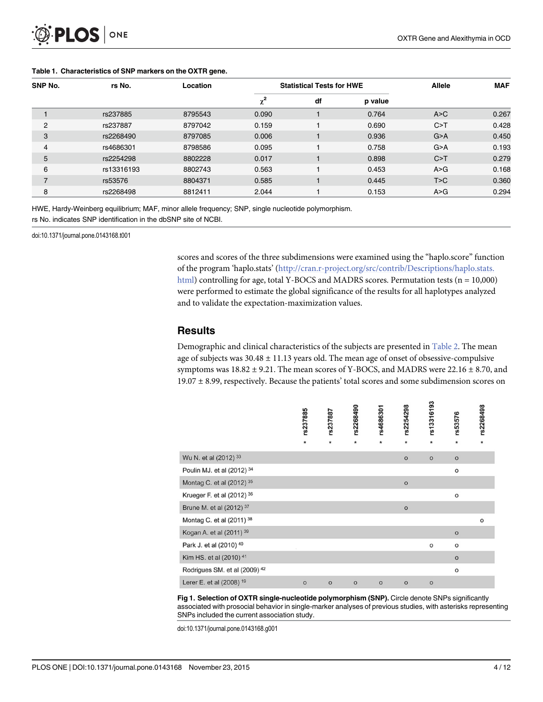<span id="page-3-0"></span>

| SNP No. | rs No.     | Location |          | <b>Statistical Tests for HWE</b> | <b>Allele</b> | <b>MAF</b> |       |
|---------|------------|----------|----------|----------------------------------|---------------|------------|-------|
|         |            |          | $\chi^2$ | df                               | p value       |            |       |
|         | rs237885   | 8795543  | 0.090    |                                  | 0.764         | A > C      | 0.267 |
| 2       | rs237887   | 8797042  | 0.159    |                                  | 0.690         | C > T      | 0.428 |
| 3       | rs2268490  | 8797085  | 0.006    |                                  | 0.936         | G > A      | 0.450 |
| 4       | rs4686301  | 8798586  | 0.095    |                                  | 0.758         | G > A      | 0.193 |
| 5       | rs2254298  | 8802228  | 0.017    |                                  | 0.898         | C > T      | 0.279 |
| 6       | rs13316193 | 8802743  | 0.563    |                                  | 0.453         | A > G      | 0.168 |
| 7       | rs53576    | 8804371  | 0.585    |                                  | 0.445         | T > C      | 0.360 |
| 8       | rs2268498  | 8812411  | 2.044    |                                  | 0.153         | A > G      | 0.294 |

#### [Table 1.](#page-2-0) Characteristics of SNP markers on the OXTR gene.

HWE, Hardy-Weinberg equilibrium; MAF, minor allele frequency; SNP, single nucleotide polymorphism. rs No. indicates SNP identification in the dbSNP site of NCBI.

doi:10.1371/journal.pone.0143168.t001

scores and scores of the three subdimensions were examined using the "haplo.score" function of the program 'haplo.stats' ([http://cran.r-project.org/src/contrib/Descriptions/haplo.stats.](http://cran.r-project.org/src/contrib/Descriptions/haplo.stats.html) [html\)](http://cran.r-project.org/src/contrib/Descriptions/haplo.stats.html) controlling for age, total Y-BOCS and MADRS scores. Permutation tests ( $n = 10,000$ ) were performed to estimate the global significance of the results for all haplotypes analyzed and to validate the expectation-maximization values.

### **Results**

Demographic and clinical characteristics of the subjects are presented in [Table 2](#page-5-0). The mean age of subjects was  $30.48 \pm 11.13$  years old. The mean age of onset of obsessive-compulsive symptoms was  $18.82 \pm 9.21$ . The mean scores of Y-BOCS, and MADRS were 22.16  $\pm$  8.70, and 19.07 ± 8.99, respectively. Because the patients' total scores and some subdimension scores on

|                                     |          |          |           |           |           | rs13316193 |         |           |
|-------------------------------------|----------|----------|-----------|-----------|-----------|------------|---------|-----------|
|                                     | rs237885 | rs237887 | rs2268490 | rs4686301 | rs2254298 |            | rs53576 | rs2268498 |
|                                     | $\star$  | $\star$  | $\star$   | $\star$   | *         | $\star$    | $\star$ |           |
|                                     |          |          |           |           |           |            |         |           |
| Wu N. et al (2012) 33               |          |          |           |           | $\circ$   | $\circ$    | $\circ$ |           |
| Poulin MJ. et al (2012) 34          |          |          |           |           |           |            | $\circ$ |           |
| Montag C. et al (2012) 35           |          |          |           |           | $\circ$   |            |         |           |
| Krueger F. et al (2012) 36          |          |          |           |           |           |            | $\circ$ |           |
| Brune M. et al (2012) 37            |          |          |           |           | $\circ$   |            |         |           |
| Montag C. et al (2011) 38           |          |          |           |           |           |            |         | $\circ$   |
| Kogan A. et al (2011) 39            |          |          |           |           |           |            | $\circ$ |           |
| Park J. et al (2010) 40             |          |          |           |           |           | $\circ$    | $\circ$ |           |
| Kim HS. et al (2010) <sup>41</sup>  |          |          |           |           |           |            | $\circ$ |           |
| Rodrigues SM. et al (2009) 42       |          |          |           |           |           |            | $\circ$ |           |
| Lerer E. et al (2008) <sup>19</sup> | $\circ$  | $\circ$  | $\circ$   | $\circ$   | $\circ$   | $\circ$    |         |           |

[Fig 1. S](#page-2-0)election of OXTR single-nucleotide polymorphism (SNP). Circle denote SNPs significantly associated with prosocial behavior in single-marker analyses of previous studies, with asterisks representing SNPs included the current association study.

doi:10.1371/journal.pone.0143168.g001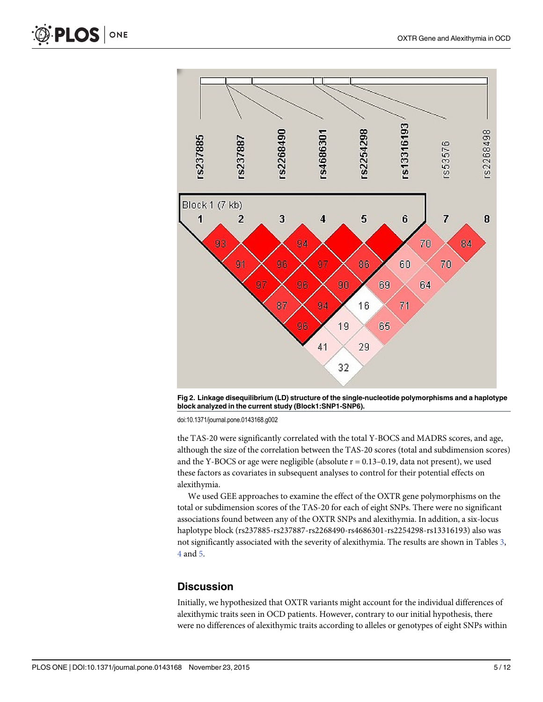<span id="page-4-0"></span>

[Fig 2. L](#page-2-0)inkage disequilibrium (LD) structure of the single-nucleotide polymorphisms and a haplotype block analyzed in the current study (Block1:SNP1-SNP6).

doi:10.1371/journal.pone.0143168.g002

the TAS-20 were significantly correlated with the total Y-BOCS and MADRS scores, and age, although the size of the correlation between the TAS-20 scores (total and subdimension scores) and the Y-BOCS or age were negligible (absolute  $r = 0.13-0.19$ , data not present), we used these factors as covariates in subsequent analyses to control for their potential effects on alexithymia.

We used GEE approaches to examine the effect of the OXTR gene polymorphisms on the total or subdimension scores of the TAS-20 for each of eight SNPs. There were no significant associations found between any of the OXTR SNPs and alexithymia. In addition, a six-locus haplotype block (rs237885-rs237887-rs2268490-rs4686301-rs2254298-rs13316193) also was not significantly associated with the severity of alexithymia. The results are shown in Tables [3,](#page-6-0)  $\overline{4}$  $\overline{4}$  $\overline{4}$  and  $\overline{5}$ .

## **Discussion**

Initially, we hypothesized that OXTR variants might account for the individual differences of alexithymic traits seen in OCD patients. However, contrary to our initial hypothesis, there were no differences of alexithymic traits according to alleles or genotypes of eight SNPs within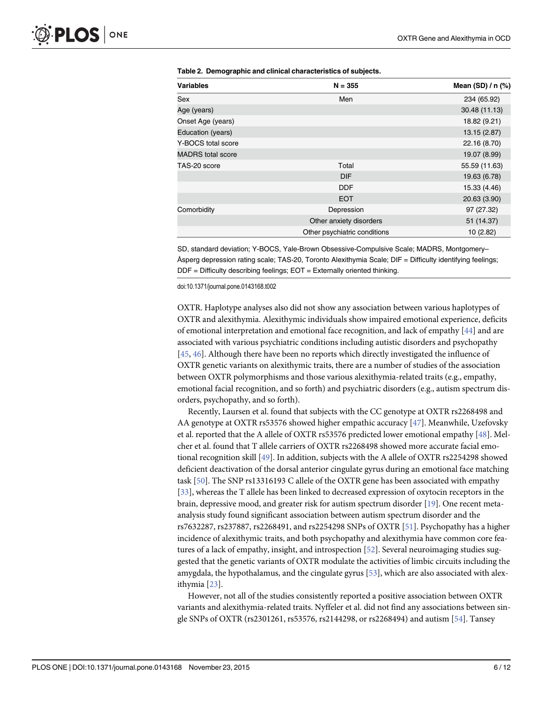| <b>Variables</b>         | $N = 355$                    | Mean (SD) / n (%) |
|--------------------------|------------------------------|-------------------|
| Sex                      | Men                          | 234 (65.92)       |
| Age (years)              |                              | 30.48 (11.13)     |
| Onset Age (years)        |                              | 18.82 (9.21)      |
| Education (years)        |                              | 13.15 (2.87)      |
| Y-BOCS total score       |                              | 22.16 (8.70)      |
| <b>MADRS</b> total score |                              | 19.07 (8.99)      |
| TAS-20 score             | Total                        | 55.59 (11.63)     |
|                          | <b>DIF</b>                   | 19.63 (6.78)      |
|                          | <b>DDF</b>                   | 15.33 (4.46)      |
|                          | <b>EOT</b>                   | 20.63 (3.90)      |
| Comorbidity              | Depression                   | 97 (27.32)        |
|                          | Other anxiety disorders      | 51 (14.37)        |
|                          | Other psychiatric conditions | 10(2.82)          |

<span id="page-5-0"></span>

|  | Table 2. Demographic and clinical characteristics of subjects. |  |  |  |
|--|----------------------------------------------------------------|--|--|--|
|--|----------------------------------------------------------------|--|--|--|

SD, standard deviation; Y-BOCS, Yale-Brown Obsessive-Compulsive Scale; MADRS, Montgomery– Åsperg depression rating scale; TAS-20, Toronto Alexithymia Scale; DIF = Difficulty identifying feelings; DDF = Difficulty describing feelings; EOT = Externally oriented thinking.

doi:10.1371/journal.pone.0143168.t002

OXTR. Haplotype analyses also did not show any association between various haplotypes of OXTR and alexithymia. Alexithymic individuals show impaired emotional experience, deficits of emotional interpretation and emotional face recognition, and lack of empathy  $[44]$  $[44]$  $[44]$  and are associated with various psychiatric conditions including autistic disorders and psychopathy [\[45](#page-11-0), [46\]](#page-11-0). Although there have been no reports which directly investigated the influence of OXTR genetic variants on alexithymic traits, there are a number of studies of the association between OXTR polymorphisms and those various alexithymia-related traits (e.g., empathy, emotional facial recognition, and so forth) and psychiatric disorders (e.g., autism spectrum disorders, psychopathy, and so forth).

Recently, Laursen et al. found that subjects with the CC genotype at OXTR rs2268498 and AA genotype at OXTR rs53576 showed higher empathic accuracy [[47](#page-11-0)]. Meanwhile, Uzefovsky et al. reported that the A allele of OXTR rs53576 predicted lower emotional empathy [[48](#page-11-0)]. Melcher et al. found that T allele carriers of OXTR rs2268498 showed more accurate facial emotional recognition skill [[49](#page-11-0)]. In addition, subjects with the A allele of OXTR rs2254298 showed deficient deactivation of the dorsal anterior cingulate gyrus during an emotional face matching task [[50](#page-11-0)]. The SNP rs13316193 C allele of the OXTR gene has been associated with empathy [\[33](#page-10-0)], whereas the T allele has been linked to decreased expression of oxytocin receptors in the brain, depressive mood, and greater risk for autism spectrum disorder [[19](#page-9-0)]. One recent metaanalysis study found significant association between autism spectrum disorder and the rs7632287, rs237887, rs2268491, and rs2254298 SNPs of OXTR [[51](#page-11-0)]. Psychopathy has a higher incidence of alexithymic traits, and both psychopathy and alexithymia have common core features of a lack of empathy, insight, and introspection  $[52]$  $[52]$  $[52]$ . Several neuroimaging studies suggested that the genetic variants of OXTR modulate the activities of limbic circuits including the amygdala, the hypothalamus, and the cingulate gyrus [[53](#page-11-0)], which are also associated with alexithymia [\[23\]](#page-9-0).

However, not all of the studies consistently reported a positive association between OXTR variants and alexithymia-related traits. Nyffeler et al. did not find any associations between single SNPs of OXTR (rs2301261, rs53576, rs2144298, or rs2268494) and autism [\[54\]](#page-11-0). Tansey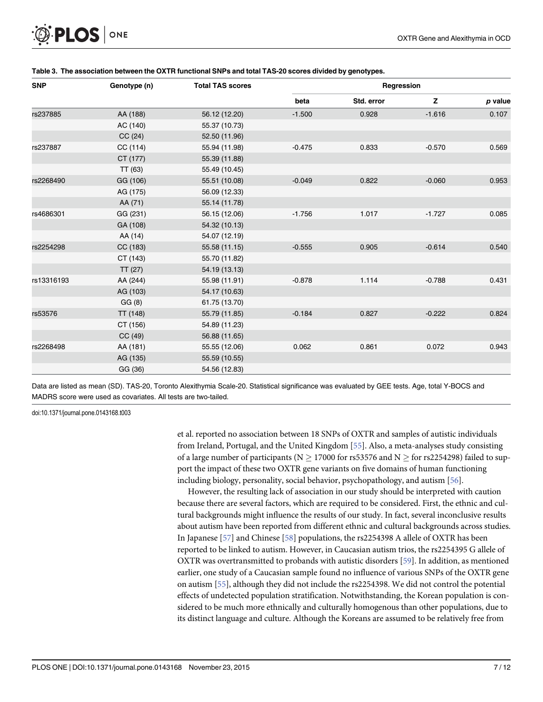<span id="page-6-0"></span>

| <b>SNP</b> | Genotype (n) | <b>Total TAS scores</b> |          | Regression |          |         |  |  |  |  |  |
|------------|--------------|-------------------------|----------|------------|----------|---------|--|--|--|--|--|
|            |              |                         | beta     | Std. error | z        | p value |  |  |  |  |  |
| rs237885   | AA (188)     | 56.12 (12.20)           | $-1.500$ | 0.928      | $-1.616$ | 0.107   |  |  |  |  |  |
|            | AC (140)     | 55.37 (10.73)           |          |            |          |         |  |  |  |  |  |
|            | CC(24)       | 52.50 (11.96)           |          |            |          |         |  |  |  |  |  |
| rs237887   | CC(114)      | 55.94 (11.98)           | $-0.475$ | 0.833      | $-0.570$ | 0.569   |  |  |  |  |  |
|            | CT (177)     | 55.39 (11.88)           |          |            |          |         |  |  |  |  |  |
|            | TT (63)      | 55.49 (10.45)           |          |            |          |         |  |  |  |  |  |
| rs2268490  | GG (106)     | 55.51 (10.08)           | $-0.049$ | 0.822      | $-0.060$ | 0.953   |  |  |  |  |  |
|            | AG (175)     | 56.09 (12.33)           |          |            |          |         |  |  |  |  |  |
|            | AA (71)      | 55.14 (11.78)           |          |            |          |         |  |  |  |  |  |
| rs4686301  | GG (231)     | 56.15 (12.06)           | $-1.756$ | 1.017      | $-1.727$ | 0.085   |  |  |  |  |  |
|            | GA (108)     | 54.32 (10.13)           |          |            |          |         |  |  |  |  |  |
|            | AA (14)      | 54.07 (12.19)           |          |            |          |         |  |  |  |  |  |
| rs2254298  | CC(183)      | 55.58 (11.15)           | $-0.555$ | 0.905      | $-0.614$ | 0.540   |  |  |  |  |  |
|            | CT (143)     | 55.70 (11.82)           |          |            |          |         |  |  |  |  |  |
|            | TT(27)       | 54.19 (13.13)           |          |            |          |         |  |  |  |  |  |
| rs13316193 | AA (244)     | 55.98 (11.91)           | $-0.878$ | 1.114      | $-0.788$ | 0.431   |  |  |  |  |  |
|            | AG (103)     | 54.17 (10.63)           |          |            |          |         |  |  |  |  |  |
|            | GG(8)        | 61.75 (13.70)           |          |            |          |         |  |  |  |  |  |
| rs53576    | TT (148)     | 55.79 (11.85)           | $-0.184$ | 0.827      | $-0.222$ | 0.824   |  |  |  |  |  |
|            | CT (156)     | 54.89 (11.23)           |          |            |          |         |  |  |  |  |  |
|            | CC(49)       | 56.88 (11.65)           |          |            |          |         |  |  |  |  |  |
| rs2268498  | AA (181)     | 55.55 (12.06)           | 0.062    | 0.861      | 0.072    | 0.943   |  |  |  |  |  |
|            | AG (135)     | 55.59 (10.55)           |          |            |          |         |  |  |  |  |  |
|            | GG (36)      | 54.56 (12.83)           |          |            |          |         |  |  |  |  |  |

#### [Table 3.](#page-4-0) The association between the OXTR functional SNPs and total TAS-20 scores divided by genotypes.

Data are listed as mean (SD). TAS-20, Toronto Alexithymia Scale-20. Statistical significance was evaluated by GEE tests. Age, total Y-BOCS and MADRS score were used as covariates. All tests are two-tailed.

doi:10.1371/journal.pone.0143168.t003

et al. reported no association between 18 SNPs of OXTR and samples of autistic individuals from Ireland, Portugal, and the United Kingdom [\[55](#page-11-0)]. Also, a meta-analyses study consisting of a large number of participants (N  $\geq$  17000 for rs53576 and N  $\geq$  for rs2254298) failed to support the impact of these two OXTR gene variants on five domains of human functioning including biology, personality, social behavior, psychopathology, and autism [[56](#page-11-0)].

However, the resulting lack of association in our study should be interpreted with caution because there are several factors, which are required to be considered. First, the ethnic and cultural backgrounds might influence the results of our study. In fact, several inconclusive results about autism have been reported from different ethnic and cultural backgrounds across studies. In Japanese [\[57\]](#page-11-0) and Chinese [\[58\]](#page-11-0) populations, the rs2254398 A allele of OXTR has been reported to be linked to autism. However, in Caucasian autism trios, the rs2254395 G allele of OXTR was overtransmitted to probands with autistic disorders [[59](#page-11-0)]. In addition, as mentioned earlier, one study of a Caucasian sample found no influence of various SNPs of the OXTR gene on autism [\[55\]](#page-11-0), although they did not include the rs2254398. We did not control the potential effects of undetected population stratification. Notwithstanding, the Korean population is considered to be much more ethnically and culturally homogenous than other populations, due to its distinct language and culture. Although the Koreans are assumed to be relatively free from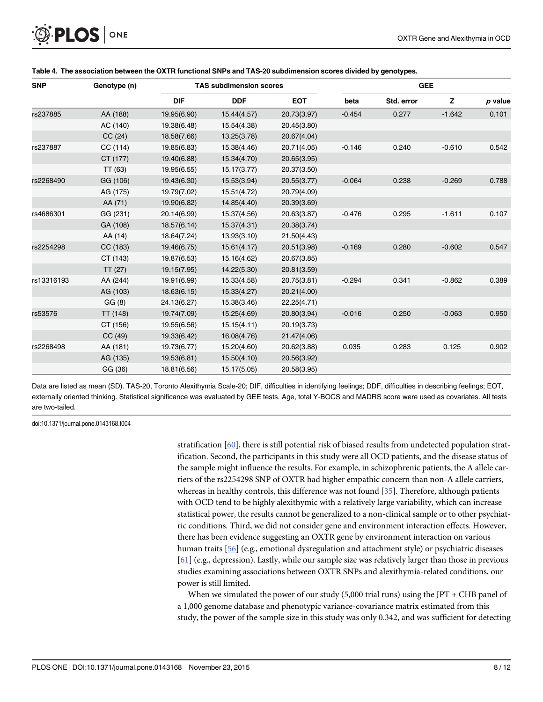<span id="page-7-0"></span>

| <b>SNP</b> | Genotype (n) |             | <b>TAS subdimension scores</b> |             | <b>GEE</b> |            |          |         |  |  |
|------------|--------------|-------------|--------------------------------|-------------|------------|------------|----------|---------|--|--|
|            |              | <b>DIF</b>  | <b>DDF</b>                     | <b>EOT</b>  | beta       | Std. error | z        | p value |  |  |
| rs237885   | AA (188)     | 19.95(6.90) | 15.44(4.57)                    | 20.73(3.97) | $-0.454$   | 0.277      | $-1.642$ | 0.101   |  |  |
|            | AC (140)     | 19.38(6.48) | 15.54(4.38)                    | 20.45(3.80) |            |            |          |         |  |  |
|            | CC(24)       | 18.58(7.66) | 13.25(3.78)                    | 20.67(4.04) |            |            |          |         |  |  |
| rs237887   | CC(114)      | 19.85(6.83) | 15.38(4.46)                    | 20.71(4.05) | $-0.146$   | 0.240      | $-0.610$ | 0.542   |  |  |
|            | CT (177)     | 19.40(6.88) | 15.34(4.70)                    | 20.65(3.95) |            |            |          |         |  |  |
|            | TT(63)       | 19.95(6.55) | 15.17(3.77)                    | 20.37(3.50) |            |            |          |         |  |  |
| rs2268490  | GG (106)     | 19.43(6.30) | 15.53(3.94)                    | 20.55(3.77) | $-0.064$   | 0.238      | $-0.269$ | 0.788   |  |  |
|            | AG (175)     | 19.79(7.02) | 15.51(4.72)                    | 20.79(4.09) |            |            |          |         |  |  |
|            | AA (71)      | 19.90(6.82) | 14.85(4.40)                    | 20.39(3.69) |            |            |          |         |  |  |
| rs4686301  | GG (231)     | 20.14(6.99) | 15.37(4.56)                    | 20.63(3.87) | $-0.476$   | 0.295      | $-1.611$ | 0.107   |  |  |
|            | GA (108)     | 18.57(6.14) | 15.37(4.31)                    | 20.38(3.74) |            |            |          |         |  |  |
|            | AA (14)      | 18.64(7.24) | 13.93(3.10)                    | 21.50(4.43) |            |            |          |         |  |  |
| rs2254298  | CC (183)     | 19.46(6.75) | 15.61(4.17)                    | 20.51(3.98) | $-0.169$   | 0.280      | $-0.602$ | 0.547   |  |  |
|            | CT (143)     | 19.87(6.53) | 15.16(4.62)                    | 20.67(3.85) |            |            |          |         |  |  |
|            | TT (27)      | 19.15(7.95) | 14.22(5.30)                    | 20.81(3.59) |            |            |          |         |  |  |
| rs13316193 | AA (244)     | 19.91(6.99) | 15.33(4.58)                    | 20.75(3.81) | $-0.294$   | 0.341      | $-0.862$ | 0.389   |  |  |
|            | AG (103)     | 18.63(6.15) | 15.33(4.27)                    | 20.21(4.00) |            |            |          |         |  |  |
|            | GG(8)        | 24.13(6.27) | 15.38(3.46)                    | 22.25(4.71) |            |            |          |         |  |  |
| rs53576    | TT (148)     | 19.74(7.09) | 15.25(4.69)                    | 20.80(3.94) | $-0.016$   | 0.250      | $-0.063$ | 0.950   |  |  |
|            | CT (156)     | 19.55(6.56) | 15.15(4.11)                    | 20.19(3.73) |            |            |          |         |  |  |
|            | CC(49)       | 19.33(6.42) | 16.08(4.76)                    | 21.47(4.06) |            |            |          |         |  |  |
| rs2268498  | AA (181)     | 19.73(6.77) | 15.20(4.60)                    | 20.62(3.88) | 0.035      | 0.283      | 0.125    | 0.902   |  |  |
|            | AG (135)     | 19.53(6.81) | 15.50(4.10)                    | 20.56(3.92) |            |            |          |         |  |  |
|            | GG (36)      | 18.81(6.56) | 15.17(5.05)                    | 20.58(3.95) |            |            |          |         |  |  |

#### [Table 4.](#page-4-0) The association between the OXTR functional SNPs and TAS-20 subdimension scores divided by genotypes.

Data are listed as mean (SD). TAS-20, Toronto Alexithymia Scale-20; DIF, difficulties in identifying feelings; DDF, difficulties in describing feelings; EOT, externally oriented thinking. Statistical significance was evaluated by GEE tests. Age, total Y-BOCS and MADRS score were used as covariates. All tests are two-tailed.

doi:10.1371/journal.pone.0143168.t004

stratification [\[60\]](#page-11-0), there is still potential risk of biased results from undetected population stratification. Second, the participants in this study were all OCD patients, and the disease status of the sample might influence the results. For example, in schizophrenic patients, the A allele carriers of the rs2254298 SNP of OXTR had higher empathic concern than non-A allele carriers, whereas in healthy controls, this difference was not found [\[35\]](#page-10-0). Therefore, although patients with OCD tend to be highly alexithymic with a relatively large variability, which can increase statistical power, the results cannot be generalized to a non-clinical sample or to other psychiatric conditions. Third, we did not consider gene and environment interaction effects. However, there has been evidence suggesting an OXTR gene by environment interaction on various human traits [[56](#page-11-0)] (e.g., emotional dysregulation and attachment style) or psychiatric diseases [\[61](#page-11-0)] (e.g., depression). Lastly, while our sample size was relatively larger than those in previous studies examining associations between OXTR SNPs and alexithymia-related conditions, our power is still limited.

When we simulated the power of our study  $(5,000 \text{ trial runs})$  using the JPT + CHB panel of a 1,000 genome database and phenotypic variance-covariance matrix estimated from this study, the power of the sample size in this study was only 0.342, and was sufficient for detecting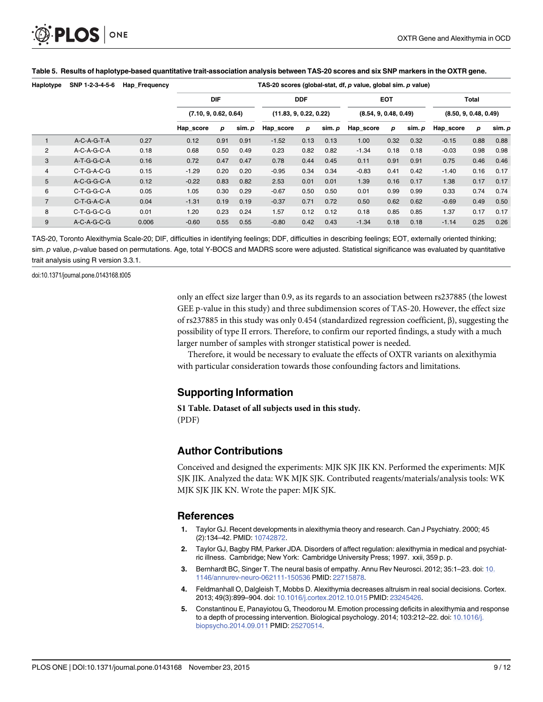<span id="page-8-0"></span>

| Haplotype      | SNP 1-2-3-4-5-6 | Hap_Frequency | TAS-20 scores (global-stat, df, p value, global sim. p value) |                       |        |                        |      |                       |           |      |                       |           |      |       |
|----------------|-----------------|---------------|---------------------------------------------------------------|-----------------------|--------|------------------------|------|-----------------------|-----------|------|-----------------------|-----------|------|-------|
|                |                 |               |                                                               | <b>DIF</b>            |        | <b>DDF</b>             |      | <b>EOT</b>            |           |      | Total                 |           |      |       |
|                |                 |               |                                                               | (7.10, 9, 0.62, 0.64) |        | (11.83, 9, 0.22, 0.22) |      | (8.54, 9, 0.48, 0.49) |           |      | (8.50, 9, 0.48, 0.49) |           |      |       |
|                |                 |               | Hap_score                                                     | р                     | sim. p | Hap_score              | р    | sim. p                | Hap_score | р    | sim. p                | Hap_score | р    | sim.p |
|                | A-C-A-G-T-A     | 0.27          | 0.12                                                          | 0.91                  | 0.91   | $-1.52$                | 0.13 | 0.13                  | 1.00      | 0.32 | 0.32                  | $-0.15$   | 0.88 | 0.88  |
| $\overline{2}$ | $A-C-A-G-C-A$   | 0.18          | 0.68                                                          | 0.50                  | 0.49   | 0.23                   | 0.82 | 0.82                  | $-1.34$   | 0.18 | 0.18                  | $-0.03$   | 0.98 | 0.98  |
| 3              | A-T-G-G-C-A     | 0.16          | 0.72                                                          | 0.47                  | 0.47   | 0.78                   | 0.44 | 0.45                  | 0.11      | 0.91 | 0.91                  | 0.75      | 0.46 | 0.46  |
| $\overline{4}$ | C-T-G-A-C-G     | 0.15          | $-1.29$                                                       | 0.20                  | 0.20   | $-0.95$                | 0.34 | 0.34                  | $-0.83$   | 0.41 | 0.42                  | $-1.40$   | 0.16 | 0.17  |
| 5              | A-C-G-G-C-A     | 0.12          | $-0.22$                                                       | 0.83                  | 0.82   | 2.53                   | 0.01 | 0.01                  | 1.39      | 0.16 | 0.17                  | 1.38      | 0.17 | 0.17  |
| 6              | C-T-G-G-C-A     | 0.05          | 1.05                                                          | 0.30                  | 0.29   | $-0.67$                | 0.50 | 0.50                  | 0.01      | 0.99 | 0.99                  | 0.33      | 0.74 | 0.74  |
| $\overline{7}$ | C-T-G-A-C-A     | 0.04          | $-1.31$                                                       | 0.19                  | 0.19   | $-0.37$                | 0.71 | 0.72                  | 0.50      | 0.62 | 0.62                  | $-0.69$   | 0.49 | 0.50  |
| 8              | C-T-G-G-C-G     | 0.01          | 1.20                                                          | 0.23                  | 0.24   | 1.57                   | 0.12 | 0.12                  | 0.18      | 0.85 | 0.85                  | 1.37      | 0.17 | 0.17  |
| 9              | $A-C-A-G-C-G$   | 0.006         | $-0.60$                                                       | 0.55                  | 0.55   | $-0.80$                | 0.42 | 0.43                  | $-1.34$   | 0.18 | 0.18                  | $-1.14$   | 0.25 | 0.26  |

#### [Table 5.](#page-4-0) Results of haplotype-based quantitative trait-association analysis between TAS-20 scores and six SNP markers in the OXTR gene.

TAS-20, Toronto Alexithymia Scale-20; DIF, difficulties in identifying feelings; DDF, difficulties in describing feelings; EOT, externally oriented thinking; sim. p value, p-value based on permutations. Age, total Y-BOCS and MADRS score were adjusted. Statistical significance was evaluated by quantitative trait analysis using R version 3.3.1.

doi:10.1371/journal.pone.0143168.t005

only an effect size larger than 0.9, as its regards to an association between rs237885 (the lowest GEE p-value in this study) and three subdimension scores of TAS-20. However, the effect size of rs237885 in this study was only 0.454 (standardized regression coefficient, β), suggesting the possibility of type II errors. Therefore, to confirm our reported findings, a study with a much larger number of samples with stronger statistical power is needed.

Therefore, it would be necessary to evaluate the effects of OXTR variants on alexithymia with particular consideration towards those confounding factors and limitations.

## Supporting Information

[S1 Table](http://www.plosone.org/article/fetchSingleRepresentation.action?uri=info:doi/10.1371/journal.pone.0143168.s001). Dataset of all subjects used in this study. (PDF)

## Author Contributions

Conceived and designed the experiments: MJK SJK JIK KN. Performed the experiments: MJK SJK JIK. Analyzed the data: WK MJK SJK. Contributed reagents/materials/analysis tools: WK MJK SJK JIK KN. Wrote the paper: MJK SJK.

### References

- [1.](#page-0-0) Taylor GJ. Recent developments in alexithymia theory and research. Can J Psychiatry. 2000; 45 (2):134–42. PMID: [10742872.](http://www.ncbi.nlm.nih.gov/pubmed/10742872)
- [2.](#page-0-0) Taylor GJ, Bagby RM, Parker JDA. Disorders of affect regulation: alexithymia in medical and psychiatric illness. Cambridge; New York: Cambridge University Press; 1997. xxii, 359 p. p.
- [3.](#page-0-0) Bernhardt BC, Singer T. The neural basis of empathy. Annu Rev Neurosci. 2012; 35:1–23. doi: [10.](http://dx.doi.org/10.1146/annurev-neuro-062111-150536) [1146/annurev-neuro-062111-150536](http://dx.doi.org/10.1146/annurev-neuro-062111-150536) PMID: [22715878.](http://www.ncbi.nlm.nih.gov/pubmed/22715878)
- [4.](#page-0-0) Feldmanhall O, Dalgleish T, Mobbs D. Alexithymia decreases altruism in real social decisions. Cortex. 2013; 49(3):899–904. doi: [10.1016/j.cortex.2012.10.015](http://dx.doi.org/10.1016/j.cortex.2012.10.015) PMID: [23245426](http://www.ncbi.nlm.nih.gov/pubmed/23245426).
- [5.](#page-1-0) Constantinou E, Panayiotou G, Theodorou M. Emotion processing deficits in alexithymia and response to a depth of processing intervention. Biological psychology. 2014; 103:212–22. doi: [10.1016/j.](http://dx.doi.org/10.1016/j.biopsycho.2014.09.011) [biopsycho.2014.09.011](http://dx.doi.org/10.1016/j.biopsycho.2014.09.011) PMID: [25270514.](http://www.ncbi.nlm.nih.gov/pubmed/25270514)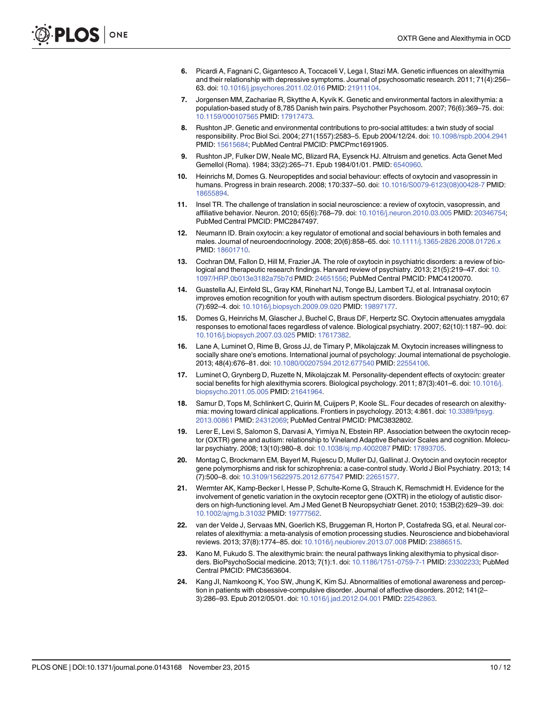- <span id="page-9-0"></span>[6.](#page-1-0) Picardi A, Fagnani C, Gigantesco A, Toccaceli V, Lega I, Stazi MA. Genetic influences on alexithymia and their relationship with depressive symptoms. Journal of psychosomatic research. 2011; 71(4):256– 63. doi: [10.1016/j.jpsychores.2011.02.016](http://dx.doi.org/10.1016/j.jpsychores.2011.02.016) PMID: [21911104](http://www.ncbi.nlm.nih.gov/pubmed/21911104).
- [7.](#page-1-0) Jorgensen MM, Zachariae R, Skytthe A, Kyvik K. Genetic and environmental factors in alexithymia: a population-based study of 8,785 Danish twin pairs. Psychother Psychosom. 2007; 76(6):369–75. doi: [10.1159/000107565](http://dx.doi.org/10.1159/000107565) PMID: [17917473](http://www.ncbi.nlm.nih.gov/pubmed/17917473).
- [8.](#page-1-0) Rushton JP. Genetic and environmental contributions to pro-social attitudes: a twin study of social responsibility. Proc Biol Sci. 2004; 271(1557):2583–5. Epub 2004/12/24. doi: [10.1098/rspb.2004.2941](http://dx.doi.org/10.1098/rspb.2004.2941) PMID: [15615684;](http://www.ncbi.nlm.nih.gov/pubmed/15615684) PubMed Central PMCID: PMCPmc1691905.
- [9.](#page-1-0) Rushton JP, Fulker DW, Neale MC, Blizard RA, Eysenck HJ. Altruism and genetics. Acta Genet Med Gemellol (Roma). 1984; 33(2):265-71. Epub 1984/01/01. PMID: [6540960.](http://www.ncbi.nlm.nih.gov/pubmed/6540960)
- [10.](#page-1-0) Heinrichs M, Domes G. Neuropeptides and social behaviour: effects of oxytocin and vasopressin in humans. Progress in brain research. 2008; 170:337–50. doi: [10.1016/S0079-6123\(08\)00428-7](http://dx.doi.org/10.1016/S0079-6123(08)00428-7) PMID: [18655894](http://www.ncbi.nlm.nih.gov/pubmed/18655894).
- 11. Insel TR. The challenge of translation in social neuroscience: a review of oxytocin, vasopressin, and affiliative behavior. Neuron. 2010; 65(6):768–79. doi: [10.1016/j.neuron.2010.03.005](http://dx.doi.org/10.1016/j.neuron.2010.03.005) PMID: [20346754](http://www.ncbi.nlm.nih.gov/pubmed/20346754); PubMed Central PMCID: PMC2847497.
- [12.](#page-1-0) Neumann ID. Brain oxytocin: a key regulator of emotional and social behaviours in both females and males. Journal of neuroendocrinology. 2008; 20(6):858–65. doi: [10.1111/j.1365-2826.2008.01726.x](http://dx.doi.org/10.1111/j.1365-2826.2008.01726.x) PMID: [18601710.](http://www.ncbi.nlm.nih.gov/pubmed/18601710)
- [13.](#page-1-0) Cochran DM, Fallon D, Hill M, Frazier JA. The role of oxytocin in psychiatric disorders: a review of biological and therapeutic research findings. Harvard review of psychiatry. 2013; 21(5):219–47. doi: [10.](http://dx.doi.org/10.1097/HRP.0b013e3182a75b7d) [1097/HRP.0b013e3182a75b7d](http://dx.doi.org/10.1097/HRP.0b013e3182a75b7d) PMID: [24651556;](http://www.ncbi.nlm.nih.gov/pubmed/24651556) PubMed Central PMCID: PMC4120070.
- [14.](#page-1-0) Guastella AJ, Einfeld SL, Gray KM, Rinehart NJ, Tonge BJ, Lambert TJ, et al. Intranasal oxytocin improves emotion recognition for youth with autism spectrum disorders. Biological psychiatry. 2010; 67 (7):692–4. doi: [10.1016/j.biopsych.2009.09.020](http://dx.doi.org/10.1016/j.biopsych.2009.09.020) PMID: [19897177.](http://www.ncbi.nlm.nih.gov/pubmed/19897177)
- [15.](#page-1-0) Domes G, Heinrichs M, Glascher J, Buchel C, Braus DF, Herpertz SC. Oxytocin attenuates amygdala responses to emotional faces regardless of valence. Biological psychiatry. 2007; 62(10):1187–90. doi: [10.1016/j.biopsych.2007.03.025](http://dx.doi.org/10.1016/j.biopsych.2007.03.025) PMID: [17617382.](http://www.ncbi.nlm.nih.gov/pubmed/17617382)
- [16.](#page-1-0) Lane A, Luminet O, Rime B, Gross JJ, de Timary P, Mikolajczak M. Oxytocin increases willingness to socially share one's emotions. International journal of psychology: Journal international de psychologie. 2013; 48(4):676–81. doi: [10.1080/00207594.2012.677540](http://dx.doi.org/10.1080/00207594.2012.677540) PMID: [22554106.](http://www.ncbi.nlm.nih.gov/pubmed/22554106)
- [17.](#page-1-0) Luminet O, Grynberg D, Ruzette N, Mikolajczak M. Personality-dependent effects of oxytocin: greater social benefits for high alexithymia scorers. Biological psychology. 2011; 87(3):401–6. doi: [10.1016/j.](http://dx.doi.org/10.1016/j.biopsycho.2011.05.005) [biopsycho.2011.05.005](http://dx.doi.org/10.1016/j.biopsycho.2011.05.005) PMID: [21641964.](http://www.ncbi.nlm.nih.gov/pubmed/21641964)
- [18.](#page-1-0) Samur D, Tops M, Schlinkert C, Quirin M, Cuijpers P, Koole SL. Four decades of research on alexithymia: moving toward clinical applications. Frontiers in psychology. 2013; 4:861. doi: [10.3389/fpsyg.](http://dx.doi.org/10.3389/fpsyg.2013.00861) [2013.00861](http://dx.doi.org/10.3389/fpsyg.2013.00861) PMID: [24312069](http://www.ncbi.nlm.nih.gov/pubmed/24312069); PubMed Central PMCID: PMC3832802.
- [19.](#page-1-0) Lerer E, Levi S, Salomon S, Darvasi A, Yirmiya N, Ebstein RP. Association between the oxytocin receptor (OXTR) gene and autism: relationship to Vineland Adaptive Behavior Scales and cognition. Molecular psychiatry. 2008; 13(10):980–8. doi: [10.1038/sj.mp.4002087](http://dx.doi.org/10.1038/sj.mp.4002087) PMID: [17893705](http://www.ncbi.nlm.nih.gov/pubmed/17893705).
- 20. Montag C, Brockmann EM, Bayerl M, Rujescu D, Muller DJ, Gallinat J. Oxytocin and oxytocin receptor gene polymorphisms and risk for schizophrenia: a case-control study. World J Biol Psychiatry. 2013; 14 (7):500–8. doi: [10.3109/15622975.2012.677547](http://dx.doi.org/10.3109/15622975.2012.677547) PMID: [22651577](http://www.ncbi.nlm.nih.gov/pubmed/22651577).
- [21.](#page-1-0) Wermter AK, Kamp-Becker I, Hesse P, Schulte-Korne G, Strauch K, Remschmidt H. Evidence for the involvement of genetic variation in the oxytocin receptor gene (OXTR) in the etiology of autistic disorders on high-functioning level. Am J Med Genet B Neuropsychiatr Genet. 2010; 153B(2):629–39. doi: [10.1002/ajmg.b.31032](http://dx.doi.org/10.1002/ajmg.b.31032) PMID: [19777562](http://www.ncbi.nlm.nih.gov/pubmed/19777562).
- [22.](#page-1-0) van der Velde J, Servaas MN, Goerlich KS, Bruggeman R, Horton P, Costafreda SG, et al. Neural correlates of alexithymia: a meta-analysis of emotion processing studies. Neuroscience and biobehavioral reviews. 2013; 37(8):1774–85. doi: [10.1016/j.neubiorev.2013.07.008](http://dx.doi.org/10.1016/j.neubiorev.2013.07.008) PMID: [23886515](http://www.ncbi.nlm.nih.gov/pubmed/23886515).
- [23.](#page-1-0) Kano M, Fukudo S. The alexithymic brain: the neural pathways linking alexithymia to physical disorders. BioPsychoSocial medicine. 2013; 7(1):1. doi: [10.1186/1751-0759-7-1](http://dx.doi.org/10.1186/1751-0759-7-1) PMID: [23302233](http://www.ncbi.nlm.nih.gov/pubmed/23302233); PubMed Central PMCID: PMC3563604.
- [24.](#page-1-0) Kang JI, Namkoong K, Yoo SW, Jhung K, Kim SJ. Abnormalities of emotional awareness and perception in patients with obsessive-compulsive disorder. Journal of affective disorders. 2012; 141(2– 3):286–93. Epub 2012/05/01. doi: [10.1016/j.jad.2012.04.001](http://dx.doi.org/10.1016/j.jad.2012.04.001) PMID: [22542863.](http://www.ncbi.nlm.nih.gov/pubmed/22542863)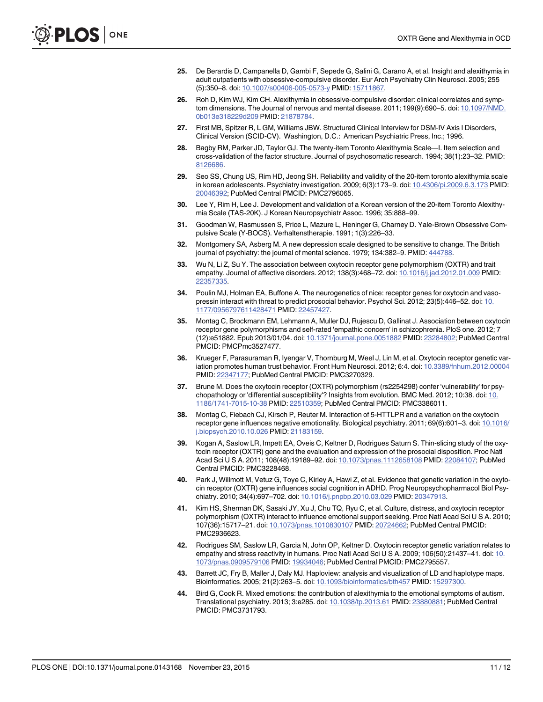- <span id="page-10-0"></span>[25.](#page-1-0) De Berardis D, Campanella D, Gambi F, Sepede G, Salini G, Carano A, et al. Insight and alexithymia in adult outpatients with obsessive-compulsive disorder. Eur Arch Psychiatry Clin Neurosci. 2005; 255 (5):350–8. doi: [10.1007/s00406-005-0573-y](http://dx.doi.org/10.1007/s00406-005-0573-y) PMID: [15711867](http://www.ncbi.nlm.nih.gov/pubmed/15711867).
- [26.](#page-1-0) Roh D, Kim WJ, Kim CH. Alexithymia in obsessive-compulsive disorder: clinical correlates and symptom dimensions. The Journal of nervous and mental disease. 2011; 199(9):690–5. doi: [10.1097/NMD.](http://dx.doi.org/10.1097/NMD.0b013e318229d209) [0b013e318229d209](http://dx.doi.org/10.1097/NMD.0b013e318229d209) PMID: [21878784](http://www.ncbi.nlm.nih.gov/pubmed/21878784).
- [27.](#page-2-0) First MB, Spitzer R, L GM, Williams JBW. Structured Clinical Interview for DSM-IV Axis I Disorders, Clinical Version (SCID-CV). Washington, D.C.: American Psychiatric Press, Inc.; 1996.
- [28.](#page-2-0) Bagby RM, Parker JD, Taylor GJ. The twenty-item Toronto Alexithymia Scale—I. Item selection and cross-validation of the factor structure. Journal of psychosomatic research. 1994; 38(1):23–32. PMID: [8126686.](http://www.ncbi.nlm.nih.gov/pubmed/8126686)
- [29.](#page-2-0) Seo SS, Chung US, Rim HD, Jeong SH. Reliability and validity of the 20-item toronto alexithymia scale in korean adolescents. Psychiatry investigation. 2009; 6(3):173–9. doi: [10.4306/pi.2009.6.3.173](http://dx.doi.org/10.4306/pi.2009.6.3.173) PMID: [20046392](http://www.ncbi.nlm.nih.gov/pubmed/20046392); PubMed Central PMCID: PMC2796065.
- [30.](#page-2-0) Lee Y, Rim H, Lee J. Development and validation of a Korean version of the 20-item Toronto Alexithymia Scale (TAS-20K). J Korean Neuropsychiatr Assoc. 1996; 35:888–99.
- [31.](#page-2-0) Goodman W, Rasmussen S, Price L, Mazure L, Heninger G, Charney D. Yale-Brown Obsessive Compulsive Scale (Y-BOCS). Verhaltenstherapie. 1991; 1(3):226–33.
- [32.](#page-2-0) Montgomery SA, Asberg M. A new depression scale designed to be sensitive to change. The British journal of psychiatry: the journal of mental science. 1979; 134:382–9. PMID: [444788](http://www.ncbi.nlm.nih.gov/pubmed/444788).
- [33.](#page-2-0) Wu N, Li Z, Su Y. The association between oxytocin receptor gene polymorphism (OXTR) and trait empathy. Journal of affective disorders. 2012; 138(3):468–72. doi: [10.1016/j.jad.2012.01.009](http://dx.doi.org/10.1016/j.jad.2012.01.009) PMID: [22357335](http://www.ncbi.nlm.nih.gov/pubmed/22357335).
- 34. Poulin MJ, Holman EA, Buffone A. The neurogenetics of nice: receptor genes for oxytocin and vasopressin interact with threat to predict prosocial behavior. Psychol Sci. 2012; 23(5):446–52. doi: [10.](http://dx.doi.org/10.1177/0956797611428471) [1177/0956797611428471](http://dx.doi.org/10.1177/0956797611428471) PMID: [22457427.](http://www.ncbi.nlm.nih.gov/pubmed/22457427)
- [35.](#page-7-0) Montag C, Brockmann EM, Lehmann A, Muller DJ, Rujescu D, Gallinat J. Association between oxytocin receptor gene polymorphisms and self-rated 'empathic concern' in schizophrenia. PloS one. 2012; 7 (12):e51882. Epub 2013/01/04. doi: [10.1371/journal.pone.0051882](http://dx.doi.org/10.1371/journal.pone.0051882) PMID: [23284802;](http://www.ncbi.nlm.nih.gov/pubmed/23284802) PubMed Central PMCID: PMCPmc3527477.
- 36. Krueger F, Parasuraman R, Iyengar V, Thornburg M, Weel J, Lin M, et al. Oxytocin receptor genetic variation promotes human trust behavior. Front Hum Neurosci. 2012; 6:4. doi: [10.3389/fnhum.2012.00004](http://dx.doi.org/10.3389/fnhum.2012.00004) PMID: [22347177;](http://www.ncbi.nlm.nih.gov/pubmed/22347177) PubMed Central PMCID: PMC3270329.
- 37. Brune M. Does the oxytocin receptor (OXTR) polymorphism (rs2254298) confer 'vulnerability' for psychopathology or 'differential susceptibility'? Insights from evolution. BMC Med. 2012; 10:38. doi: [10.](http://dx.doi.org/10.1186/1741-7015-10-38) [1186/1741-7015-10-38](http://dx.doi.org/10.1186/1741-7015-10-38) PMID: [22510359;](http://www.ncbi.nlm.nih.gov/pubmed/22510359) PubMed Central PMCID: PMC3386011.
- 38. Montag C, Fiebach CJ, Kirsch P, Reuter M. Interaction of 5-HTTLPR and a variation on the oxytocin receptor gene influences negative emotionality. Biological psychiatry. 2011; 69(6):601–3. doi: [10.1016/](http://dx.doi.org/10.1016/j.biopsych.2010.10.026) [j.biopsych.2010.10.026](http://dx.doi.org/10.1016/j.biopsych.2010.10.026) PMID: [21183159](http://www.ncbi.nlm.nih.gov/pubmed/21183159).
- 39. Kogan A, Saslow LR, Impett EA, Oveis C, Keltner D, Rodrigues Saturn S. Thin-slicing study of the oxytocin receptor (OXTR) gene and the evaluation and expression of the prosocial disposition. Proc Natl Acad Sci U S A. 2011; 108(48):19189–92. doi: [10.1073/pnas.1112658108](http://dx.doi.org/10.1073/pnas.1112658108) PMID: [22084107;](http://www.ncbi.nlm.nih.gov/pubmed/22084107) PubMed Central PMCID: PMC3228468.
- 40. Park J, Willmott M, Vetuz G, Toye C, Kirley A, Hawi Z, et al. Evidence that genetic variation in the oxytocin receptor (OXTR) gene influences social cognition in ADHD. Prog Neuropsychopharmacol Biol Psychiatry. 2010; 34(4):697–702. doi: [10.1016/j.pnpbp.2010.03.029](http://dx.doi.org/10.1016/j.pnpbp.2010.03.029) PMID: [20347913.](http://www.ncbi.nlm.nih.gov/pubmed/20347913)
- 41. Kim HS, Sherman DK, Sasaki JY, Xu J, Chu TQ, Ryu C, et al. Culture, distress, and oxytocin receptor polymorphism (OXTR) interact to influence emotional support seeking. Proc Natl Acad Sci U S A. 2010; 107(36):15717–21. doi: [10.1073/pnas.1010830107](http://dx.doi.org/10.1073/pnas.1010830107) PMID: [20724662;](http://www.ncbi.nlm.nih.gov/pubmed/20724662) PubMed Central PMCID: PMC2936623.
- [42.](#page-2-0) Rodrigues SM, Saslow LR, Garcia N, John OP, Keltner D. Oxytocin receptor genetic variation relates to empathy and stress reactivity in humans. Proc Natl Acad Sci U S A. 2009; 106(50):21437-41. doi: [10.](http://dx.doi.org/10.1073/pnas.0909579106) [1073/pnas.0909579106](http://dx.doi.org/10.1073/pnas.0909579106) PMID: [19934046;](http://www.ncbi.nlm.nih.gov/pubmed/19934046) PubMed Central PMCID: PMC2795557.
- [43.](#page-2-0) Barrett JC, Fry B, Maller J, Daly MJ. Haploview: analysis and visualization of LD and haplotype maps. Bioinformatics. 2005; 21(2):263–5. doi: [10.1093/bioinformatics/bth457](http://dx.doi.org/10.1093/bioinformatics/bth457) PMID: [15297300](http://www.ncbi.nlm.nih.gov/pubmed/15297300).
- [44.](#page-5-0) Bird G, Cook R. Mixed emotions: the contribution of alexithymia to the emotional symptoms of autism. Translational psychiatry. 2013; 3:e285. doi: [10.1038/tp.2013.61](http://dx.doi.org/10.1038/tp.2013.61) PMID: [23880881](http://www.ncbi.nlm.nih.gov/pubmed/23880881); PubMed Central PMCID: PMC3731793.